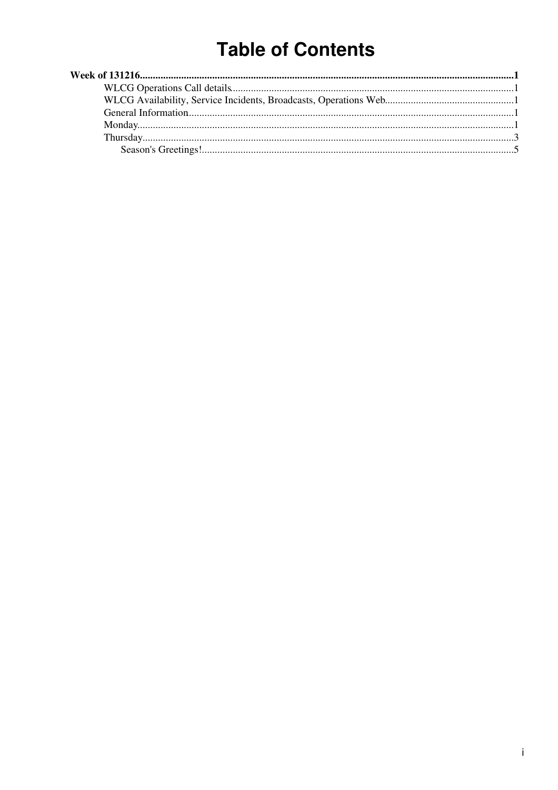# **Table of Contents**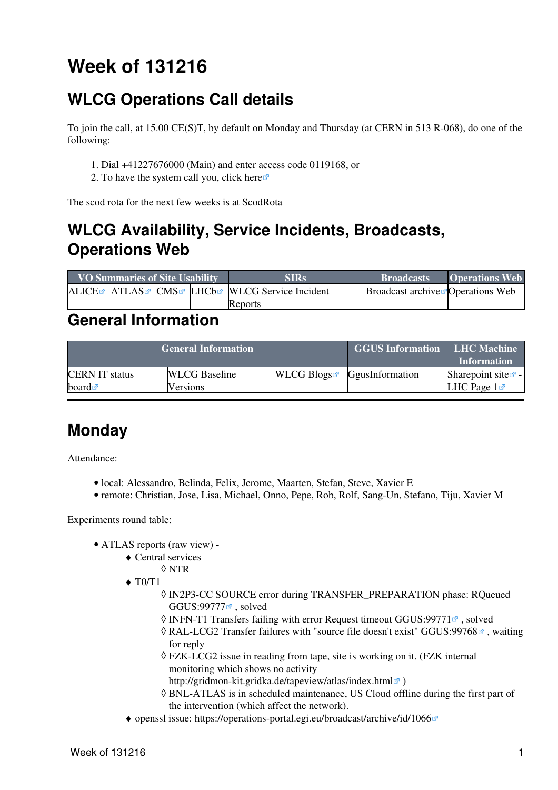# <span id="page-1-0"></span>**Week of 131216**

## <span id="page-1-1"></span>**WLCG Operations Call details**

To join the call, at 15.00 CE(S)T, by default on Monday and Thursday (at CERN in 513 R-068), do one of the following:

- 1. Dial +41227676000 (Main) and enter access code 0119168, or
- 2. To have the system call you, click [here](https://audioconf.cern.ch/call/0119168)

The scod rota for the next few weeks is at [ScodRota](https://twiki.cern.ch/twiki/bin/view/LCG/ScodRota)

## <span id="page-1-2"></span>**WLCG Availability, Service Incidents, Broadcasts, Operations Web**

| <b>VO Summaries of Site Usability</b> |  |  | <b>SIRs</b>                                    | <b>Broadcasts</b>                                | <b>Operations Web</b> |
|---------------------------------------|--|--|------------------------------------------------|--------------------------------------------------|-----------------------|
|                                       |  |  | ALICE™ ATLAS™ CMS™ LHCb™ WLCG Service Incident | <b>Broadcast archive <i>P</i> Operations</b> Web |                       |
|                                       |  |  | Reports                                        |                                                  |                       |

#### <span id="page-1-3"></span>**General Information**

|                       | <b>General Information</b> | <b>GGUS Information LHC Machine</b> | <b>Information</b>                        |                                |
|-----------------------|----------------------------|-------------------------------------|-------------------------------------------|--------------------------------|
| <b>CERN IT status</b> | <b>WLCG</b> Baseline       |                                     | $WLCG$ Blogs <sup>R</sup> GgusInformation | Sharepoint site $\mathbb{Z}$ - |
| board $\blacksquare$  | Versions                   |                                     |                                           | LHC Page $1\blacksquare$       |

### <span id="page-1-4"></span>**Monday**

Attendance:

- local: Alessandro, Belinda, Felix, Jerome, Maarten, Stefan, Steve, Xavier E
- remote: Christian, Jose, Lisa, Michael, Onno, Pepe, Rob, Rolf, Sang-Un, Stefano, Tiju, Xavier M

Experiments round table:

- ATLAS [reports](https://twiki.cern.ch/twiki/bin/view/Atlas/ADCOperationsDailyReports2013) [\(raw view\)](https://twiki.cern.ch/twiki/bin/view/Atlas/ADCOperationsDailyReports2013?raw=on) •
	- Central services ♦
		- ◊ NTR
	- $\triangleleft$  T<sub>0</sub> $/T1$ 
		- [IN2P3-](https://twiki.cern.ch/twiki/bin/view/LCG/IN2P3)CC SOURCE error during TRANSFER\_PREPARATION phase: RQueued ◊ GGUS:99777<sup>®</sup>, solved
		- $\Diamond$  INFN-T1 Transfers failing with error Request timeout GGUS:99771 $\degree$ , solved
		- © [RAL-](https://twiki.cern.ch/twiki/bin/view/LCG/RAL)LCG2 Transfer failures with "source file doesn't exist" [GGUS:99768](https://ggus.eu/ws/ticket_info.php?ticket=99768) <sup>®</sup>, waiting for reply
		- FZK-LCG2 issue in reading from tape, site is working on it. (FZK internal ◊ monitoring which shows no activity
			- <http://gridmon-kit.gridka.de/tapeview/atlas/index.html><sup>?</sup>)
		- BNL-ATLAS is in scheduled maintenance, US Cloud offline during the first part of ◊ the intervention (which affect the network).
	- ♦ openssl issue: <https://operations-portal.egi.eu/broadcast/archive/id/1066>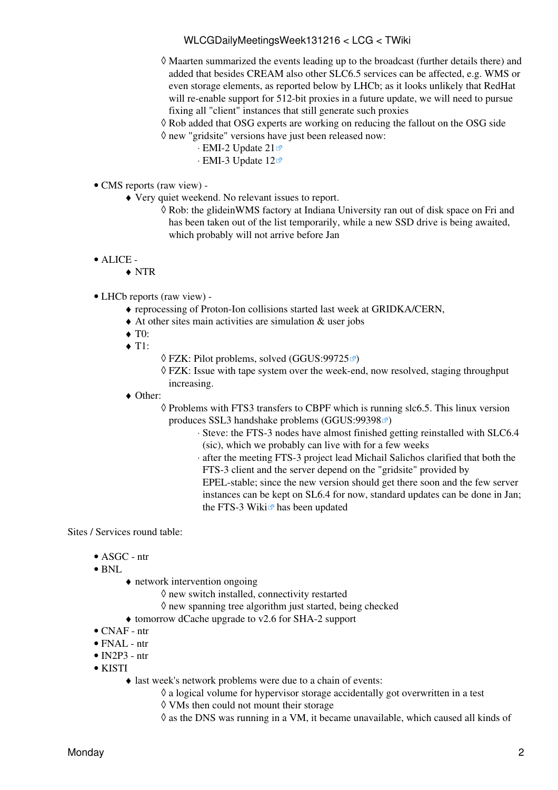#### WLCGDailyMeetingsWeek131216 < LCG < TWiki

- Maarten summarized the events leading up to the broadcast (further details there) and ◊ added that besides [CREAM](https://twiki.cern.ch/twiki/bin/view/LCG/CREAM) also other SLC6.5 services can be affected, e.g. WMS or even storage elements, as reported below by LHCb; as it looks unlikely that RedHat will re-enable support for 512-bit proxies in a future update, we will need to pursue fixing all "client" instances that still generate such proxies
- $\Diamond$  Rob added that OSG experts are working on reducing the fallout on the OSG side new "gridsite" versions have just been released now: ◊
	- ⋅ [EMI-2 Update 21](http://www.eu-emi.eu/emi-2-matterhorn/updates/-/asset_publisher/9AgN/content/update-21-16-12-2013-v-2-10-5-1)
	- ⋅ [EMI-3 Update 12](http://www.eu-emi.eu/releases/emi-3-monte-bianco/updates/-/asset_publisher/5Na8/content/update-12-16-12-2013-v-3-7-0-1)
- CMS [reports](https://twiki.cern.ch/twiki/bin/view/CMS/FacOps_WLCGdailyreports) ([raw view\)](https://twiki.cern.ch/twiki/bin/view/CMS/FacOps_WLCGdailyreports?raw=on) •
	- Very quiet weekend. No relevant issues to report. ♦
		- Rob: the glideinWMS factory at Indiana University ran out of disk space on Fri and ◊ has been taken out of the list temporarily, while a new SSD drive is being awaited, which probably will not arrive before Jan
- ALICE •
	- ♦ NTR
- LHCb [reports](https://twiki.cern.ch/twiki/bin/view/LHCb/ProductionOperationsWLCGdailyReports) [\(raw view\)](https://twiki.cern.ch/twiki/bin/view/LHCb/ProductionOperationsWLCGdailyReports?raw=on) •
	- ♦ reprocessing of Proton-Ion collisions started last week at GRIDKA/CERN,
	- ♦ At other sites main activities are simulation & user jobs
	- $\blacktriangleright$  T0:
	- $\triangleleft$  T1:
- $\Diamond$  FZK: Pilot problems, solved ([GGUS:99725](https://ggus.eu/ws/ticket_info.php?ticket=99725) $\degree$ )
- FZK: Issue with tape system over the week-end, now resolved, staging throughput ◊ increasing.
- Other: ♦
	- ◊ Problems with FTS3 transfers to CBPF which is running slc6.5. This linux version produces SSL3 handshake problems [\(GGUS:99398](https://ggus.eu/ws/ticket_info.php?ticket=99398) $\degree$ )
		- Steve: the FTS-3 nodes have almost finished getting reinstalled with SLC6.4 ⋅ (sic), which we probably can live with for a few weeks
		- after the meeting FTS-3 project lead Michail Salichos clarified that both the ⋅ FTS-3 client and the server depend on the "gridsite" provided by

EPEL-stable; since the new version should get there soon and the few server instances can be kept on SL6.4 for now, standard updates can be done in Jan; the [FTS-3 Wiki](https://svnweb.cern.ch/trac/fts3/wiki) $\vec{r}$  has been updated

Sites / Services round table:

- ASGC ntr
- BNL
- network intervention ongoing ♦
	- $\Diamond$  new switch installed, connectivity restarted
	- $\Diamond$  new spanning tree algorithm just started, being checked
- ♦ tomorrow dCache upgrade to v2.6 for SHA-2 support
- CNAF ntr
- $\bullet$  FNAL ntr
- $\bullet$  IN2P3 ntr
- KISTI
	- last week's network problems were due to a chain of events: ♦
		- $\Diamond$  a logical volume for hypervisor storage accidentally got overwritten in a test
		- ◊ VMs then could not mount their storage
		- ◊ as the DNS was running in a VM, it became unavailable, which caused all kinds of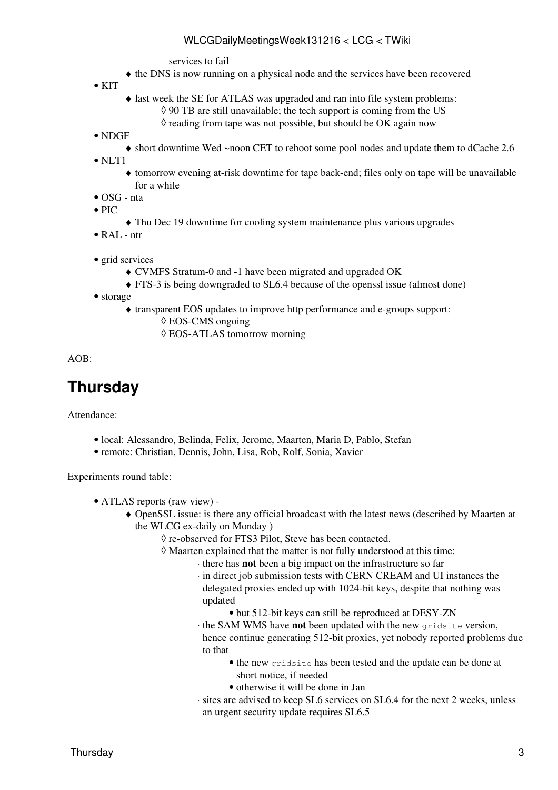services to fail

♦ the DNS is now running on a physical node and the services have been recovered

 $\bullet$  KIT

- last week the SE for ATLAS was upgraded and ran into file system problems: ♦  $\lozenge$  90 TB are still unavailable; the tech support is coming from the US
	- $\Diamond$  reading from tape was not possible, but should be OK again now
- NDGF
	- ♦ short downtime Wed ~noon CET to reboot some pool nodes and update them to dCache 2.6

• NLT1

- tomorrow evening at-risk downtime for tape back-end; files only on tape will be unavailable ♦ for a while
- OSG nta
- $\bullet$  PIC
	- ♦ Thu Dec 19 downtime for cooling system maintenance plus various upgrades
- $\bullet$  [RAL](https://twiki.cern.ch/twiki/bin/view/LCG/RAL) ntr
- grid services
	- ♦ CVMFS Stratum-0 and -1 have been migrated and upgraded OK
	- ♦ FTS-3 is being downgraded to SL6.4 because of the openssl issue (almost done)
- storage
	- transparent EOS updates to improve http performance and e-groups support: ♦
		- ◊ EOS-CMS ongoing
		- ◊ EOS-ATLAS tomorrow morning

AOB:

#### <span id="page-3-0"></span>**Thursday**

Attendance:

- local: Alessandro, Belinda, Felix, Jerome, Maarten, Maria D, Pablo, Stefan
- remote: Christian, Dennis, John, Lisa, Rob, Rolf, Sonia, Xavier

Experiments round table:

- ATLAS [reports](https://twiki.cern.ch/twiki/bin/view/Atlas/ADCOperationsDailyReports2013) [\(raw view\)](https://twiki.cern.ch/twiki/bin/view/Atlas/ADCOperationsDailyReports2013?raw=on) •
	- OpenSSL issue: is there any official broadcast with the latest news (described by Maarten at ♦ the WLCG ex-daily on Monday )
		- ◊ re-observed for FTS3 Pilot, Steve has been contacted.
			- Maarten explained that the matter is not fully understood at this time: ◊
				- ⋅ there has **not** been a big impact on the infrastructure so far
				- in direct job submission tests with CERN [CREAM](https://twiki.cern.ch/twiki/bin/view/LCG/CREAM) and UI instances the ⋅ delegated proxies ended up with 1024-bit keys, despite that nothing was updated
					- but 512-bit keys can still be reproduced at DESY-ZN
				- the SAM WMS have **not** been updated with the new gridsite version, ⋅ hence continue generating 512-bit proxies, yet nobody reported problems due to that
					- the new gridsite has been tested and the update can be done at short notice, if needed
					- otherwise it will be done in Jan
				- sites are advised to keep SL6 services on SL6.4 for the next 2 weeks, unless ⋅ an urgent security update requires SL6.5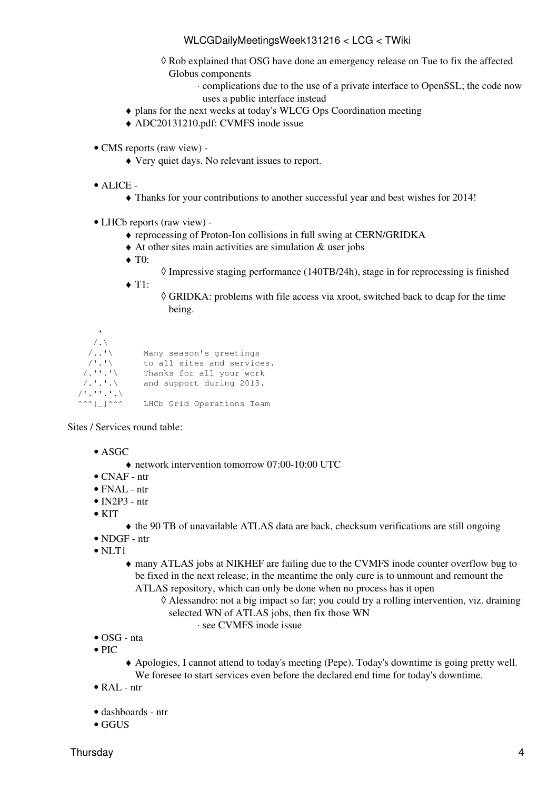#### WLCGDailyMeetingsWeek131216 < LCG < TWiki

- Rob explained that OSG have done an emergency release on Tue to fix the affected ◊ Globus components
	- complications due to the use of a private interface to OpenSSL; the code now ⋅ uses a public interface instead
- ♦ plans for the next weeks at today's [WLCG Ops Coordination meeting](https://twiki.cern.ch/twiki/bin/view/LCG/WLCGOpsMinutes131219#ATLAS)
- ♦ [ADC20131210.pdf:](https://twiki.cern.ch/twiki/pub/LCG/WLCGDailyMeetingsWeek131216/ADC20131210.pdf) CVMFS inode issue
- CMS [reports](https://twiki.cern.ch/twiki/bin/view/CMS/FacOps_WLCGdailyreports) ([raw view\)](https://twiki.cern.ch/twiki/bin/view/CMS/FacOps_WLCGdailyreports?raw=on) -
	- ♦ Very quiet days. No relevant issues to report.
- ALICE •
	- ♦ Thanks for your contributions to another successful year and best wishes for 2014!
- LHCb [reports](https://twiki.cern.ch/twiki/bin/view/LHCb/ProductionOperationsWLCGdailyReports) [\(raw view\)](https://twiki.cern.ch/twiki/bin/view/LHCb/ProductionOperationsWLCGdailyReports?raw=on) •
	- ♦ reprocessing of Proton-Ion collisions in full swing at CERN/GRIDKA
	- ♦ At other sites main activities are simulation & user jobs
	- $\blacklozenge$  T0:
		- $\Diamond$  Impressive staging performance (140TB/24h), stage in for reprocessing is finished
	- $\triangleleft$  T1:
		- GRIDKA: problems with file access via xroot, switched back to dcap for the time ◊ being.

```
\star/.\
   /..'\ Many season's greetings
/'.'\ to all sites and services.
/.''.'\ Thanks for all your work
/.'.'.\ and support during 2013. 
/'.''.'.\
^^^[_]^^^ LHCb Grid Operations Team
```
Sites / Services round table:

- ASGC
	- ♦ network intervention tomorrow 07:00-10:00 UTC
- CNAF ntr
- FNAL ntr
- $\bullet$  IN2P3 ntr
- $\bullet$  KIT
- ♦ the 90 TB of unavailable ATLAS data are back, checksum verifications are still ongoing
- NDGF ntr
- NLT1
	- many ATLAS jobs at NIKHEF are failing due to the CVMFS inode counter overflow bug to ♦ be fixed in the next release; in the meantime the only cure is to unmount and remount the ATLAS repository, which can only be done when no process has it open
		- Alessandro: not a big impact so far; you could try a rolling intervention, viz. draining ◊ selected WN of ATLAS jobs, then fix those WN
			- ⋅ see [CVMFS inode issue](https://twiki.cern.ch/twiki/pub/LCG/WLCGDailyMeetingsWeek131216/ADC20131210.pdf)
- OSG nta
- $\bullet$  PIC
- Apologies, I cannot attend to today's meeting (Pepe). Today's downtime is going pretty well. ♦ We foresee to start services even before the declared end time for today's downtime.
- [RAL](https://twiki.cern.ch/twiki/bin/view/LCG/RAL) ntr
- dashboards ntr
- GGUS